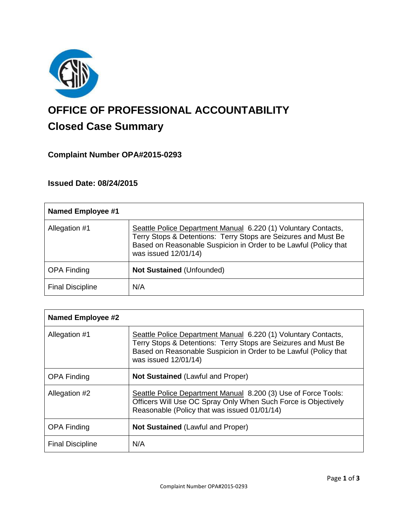

# **OFFICE OF PROFESSIONAL ACCOUNTABILITY Closed Case Summary**

# **Complaint Number OPA#2015-0293**

# **Issued Date: 08/24/2015**

| <b>Named Employee #1</b> |                                                                                                                                                                                                                              |
|--------------------------|------------------------------------------------------------------------------------------------------------------------------------------------------------------------------------------------------------------------------|
| Allegation #1            | Seattle Police Department Manual 6.220 (1) Voluntary Contacts,<br>Terry Stops & Detentions: Terry Stops are Seizures and Must Be<br>Based on Reasonable Suspicion in Order to be Lawful (Policy that<br>was issued 12/01/14) |
| <b>OPA Finding</b>       | <b>Not Sustained (Unfounded)</b>                                                                                                                                                                                             |
| <b>Final Discipline</b>  | N/A                                                                                                                                                                                                                          |

| <b>Named Employee #2</b> |                                                                                                                                                                                                                              |
|--------------------------|------------------------------------------------------------------------------------------------------------------------------------------------------------------------------------------------------------------------------|
| Allegation #1            | Seattle Police Department Manual 6.220 (1) Voluntary Contacts,<br>Terry Stops & Detentions: Terry Stops are Seizures and Must Be<br>Based on Reasonable Suspicion in Order to be Lawful (Policy that<br>was issued 12/01/14) |
| <b>OPA Finding</b>       | <b>Not Sustained (Lawful and Proper)</b>                                                                                                                                                                                     |
| Allegation #2            | Seattle Police Department Manual 8.200 (3) Use of Force Tools:<br>Officers Will Use OC Spray Only When Such Force is Objectively<br>Reasonable (Policy that was issued 01/01/14)                                             |
| <b>OPA Finding</b>       | <b>Not Sustained (Lawful and Proper)</b>                                                                                                                                                                                     |
| <b>Final Discipline</b>  | N/A                                                                                                                                                                                                                          |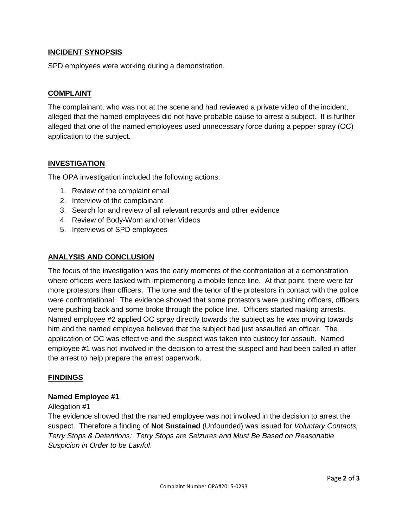# **INCIDENT SYNOPSIS**

SPD employees were working during a demonstration.

# **COMPLAINT**

The complainant, who was not at the scene and had reviewed a private video of the incident, alleged that the named employees did not have probable cause to arrest a subject. It is further alleged that one of the named employees used unnecessary force during a pepper spray (OC) application to the subject.

## **INVESTIGATION**

The OPA investigation included the following actions:

- 1. Review of the complaint email
- 2. Interview of the complainant
- 3. Search for and review of all relevant records and other evidence
- 4. Review of Body-Worn and other Videos
- 5. Interviews of SPD employees

## **ANALYSIS AND CONCLUSION**

The focus of the investigation was the early moments of the confrontation at a demonstration where officers were tasked with implementing a mobile fence line. At that point, there were far more protestors than officers. The tone and the tenor of the protestors in contact with the police were confrontational. The evidence showed that some protestors were pushing officers, officers were pushing back and some broke through the police line. Officers started making arrests. Named employee #2 applied OC spray directly towards the subject as he was moving towards him and the named employee believed that the subject had just assaulted an officer. The application of OC was effective and the suspect was taken into custody for assault. Named employee #1 was not involved in the decision to arrest the suspect and had been called in after the arrest to help prepare the arrest paperwork.

# **FINDINGS**

#### **Named Employee #1**

#### Allegation #1

The evidence showed that the named employee was not involved in the decision to arrest the suspect. Therefore a finding of **Not Sustained** (Unfounded) was issued for *Voluntary Contacts, Terry Stops & Detentions: Terry Stops are Seizures and Must Be Based on Reasonable Suspicion in Order to be Lawful*.